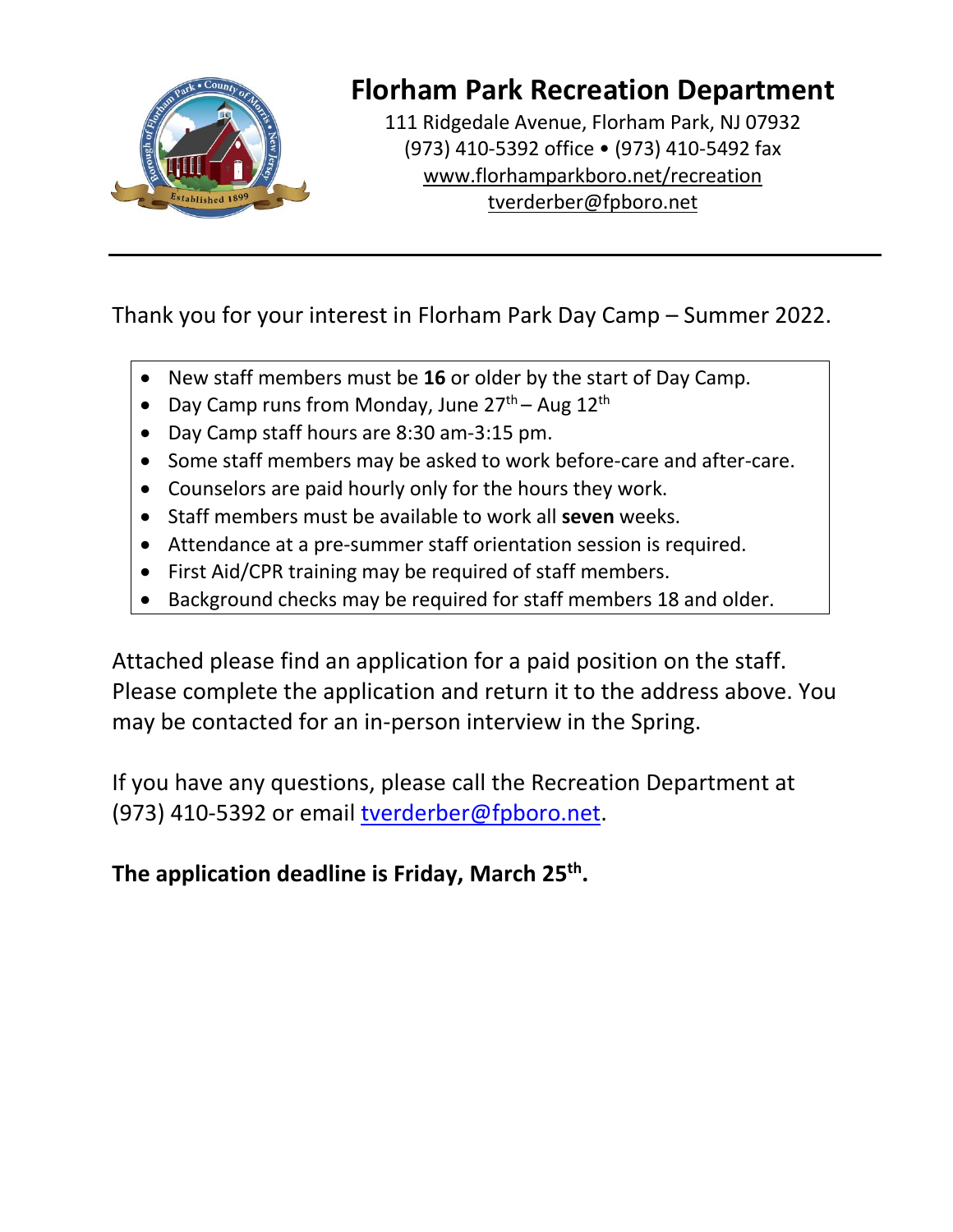

## **Florham Park Recreation Department**

111 Ridgedale Avenue, Florham Park, NJ 07932 (973) 410-5392 office • (973) 410-5492 fax [www.florhamparkboro.net/recreation](http://www.florhamparkboro.net/recreation) tverderber@fpboro.net

Thank you for your interest in Florham Park Day Camp – Summer 2022.

- New staff members must be **16** or older by the start of Day Camp.
- Day Camp runs from Monday, June 27<sup>th</sup> Aug 12<sup>th</sup>
- Day Camp staff hours are 8:30 am-3:15 pm.
- Some staff members may be asked to work before-care and after-care.
- Counselors are paid hourly only for the hours they work.
- Staff members must be available to work all **seven** weeks.
- Attendance at a pre-summer staff orientation session is required.
- First Aid/CPR training may be required of staff members.
- Background checks may be required for staff members 18 and older.

Attached please find an application for a paid position on the staff. Please complete the application and return it to the address above. You may be contacted for an in-person interview in the Spring.

If you have any questions, please call the Recreation Department at (973) 410-5392 or email [tverderber@fpboro.net.](mailto:tverderber@fpboro.net)

**The application deadline is Friday, March 25 th .**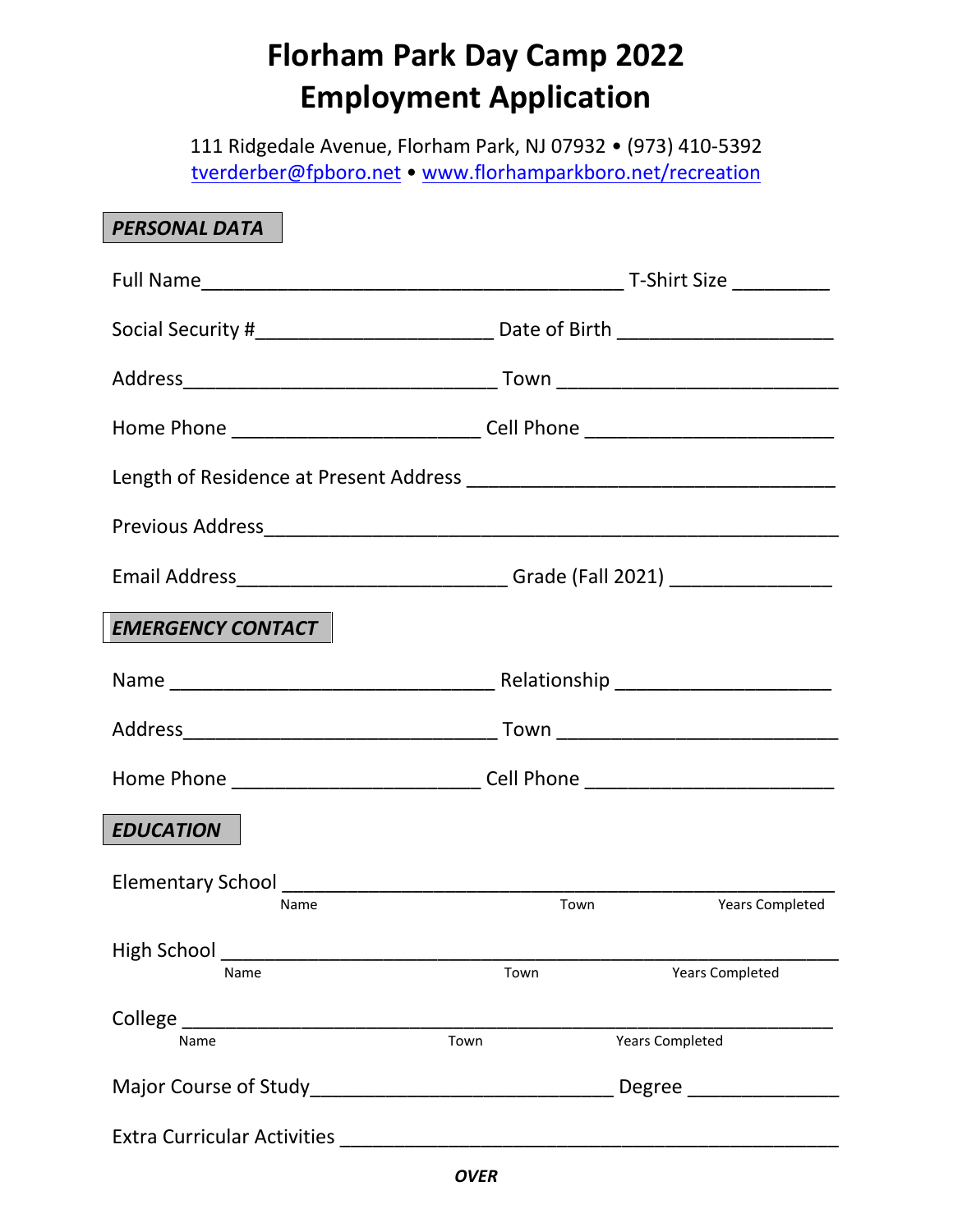## **Florham Park Day Camp 2022 Employment Application**

111 Ridgedale Avenue, Florham Park, NJ 07932 • (973) 410-5392 [tverderber@fpboro.net](mailto:tverderber@fpboro.net) • [www.florhamparkboro.net/recreation](http://www.florhamparkboro.net/recreation)

| <b>PERSONAL DATA</b>                                                                                            |                                                                                  |  |  |  |
|-----------------------------------------------------------------------------------------------------------------|----------------------------------------------------------------------------------|--|--|--|
|                                                                                                                 |                                                                                  |  |  |  |
|                                                                                                                 |                                                                                  |  |  |  |
|                                                                                                                 |                                                                                  |  |  |  |
|                                                                                                                 | Home Phone _________________________________Cell Phone _________________________ |  |  |  |
|                                                                                                                 |                                                                                  |  |  |  |
|                                                                                                                 |                                                                                  |  |  |  |
|                                                                                                                 |                                                                                  |  |  |  |
| <b>EMERGENCY CONTACT</b>                                                                                        |                                                                                  |  |  |  |
|                                                                                                                 |                                                                                  |  |  |  |
|                                                                                                                 |                                                                                  |  |  |  |
|                                                                                                                 | Home Phone ___________________________________Cell Phone _______________________ |  |  |  |
| <b>EDUCATION</b>                                                                                                |                                                                                  |  |  |  |
| Name                                                                                                            | Town<br><b>Years Completed</b>                                                   |  |  |  |
| High School and the control of the control of the control of the control of the control of the control of the c |                                                                                  |  |  |  |
| Name                                                                                                            | Town<br><b>Years Completed</b>                                                   |  |  |  |
| Town<br>Name                                                                                                    | <b>Years Completed</b>                                                           |  |  |  |
|                                                                                                                 | Degree                                                                           |  |  |  |
|                                                                                                                 |                                                                                  |  |  |  |